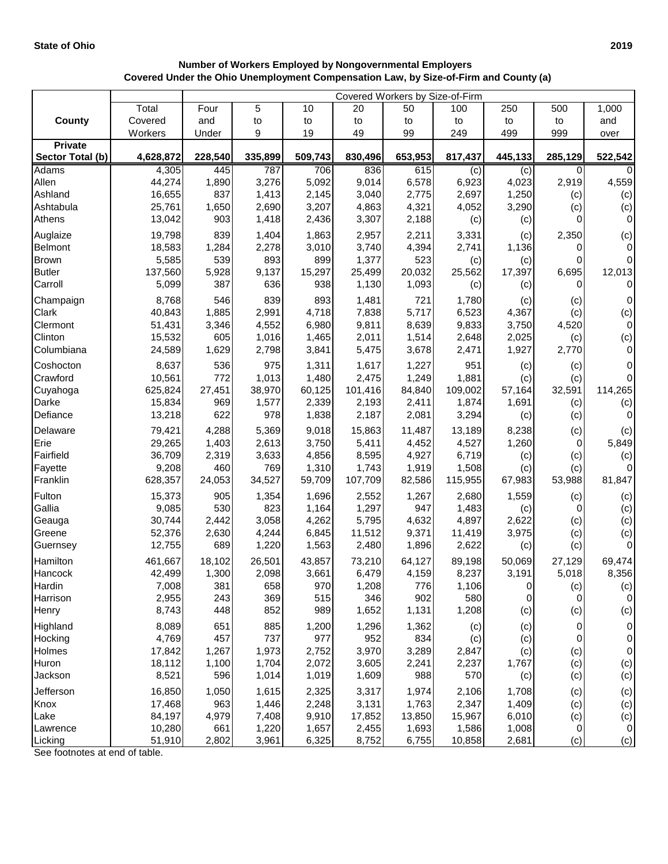## **Number of Workers Employed by Nongovernmental Employers Covered Under the Ohio Unemployment Compensation Law, by Size-of-Firm and County (a)**

|                               |                  | Covered Workers by Size-of-Firm |                |                 |                  |                 |                  |                |               |                        |  |
|-------------------------------|------------------|---------------------------------|----------------|-----------------|------------------|-----------------|------------------|----------------|---------------|------------------------|--|
|                               | Total            | Four                            | 5              | 10              | 20               | 50              | 100              | 250            | 500           | 1,000                  |  |
| <b>County</b>                 | Covered          | and                             | to             | to              | to               | to              | to               | to             | to            | and                    |  |
|                               | Workers          | Under                           | 9              | 19              | 49               | 99              | 249              | 499            | 999           | over                   |  |
| <b>Private</b>                |                  |                                 |                |                 |                  |                 |                  |                |               |                        |  |
| Sector Total (b)              | 4,628,872        | 228,540                         | 335,899        | 509,743         | 830,496          | 653,953         | 817,437          | 445,133        | 285,129       | 522,542                |  |
| Adams                         | 4,305            | 445                             | 787            | 706             | 836              | 615             | (c)              | (c)            | 0             |                        |  |
| Allen                         | 44,274           | 1,890                           | 3,276          | 5,092           | 9,014            | 6,578           | 6,923            | 4,023          | 2,919         | 4,559                  |  |
| Ashland                       | 16,655           | 837                             | 1,413          | 2,145           | 3,040            | 2,775           | 2,697            | 1,250          | (c)           | (c)                    |  |
| Ashtabula                     | 25,761           | 1,650                           | 2,690          | 3,207           | 4,863            | 4,321           | 4,052            | 3,290          | (c)           | (c)                    |  |
| Athens                        | 13,042           | 903                             | 1,418          | 2,436           | 3,307            | 2,188           | (c)              | (c)            | 0             | $\pmb{0}$              |  |
| Auglaize                      | 19,798           | 839                             | 1,404          | 1,863           | 2,957            | 2,211           | 3,331            | (c)            | 2,350         | (c)                    |  |
| Belmont                       | 18,583           | 1,284<br>539                    | 2,278<br>893   | 3,010<br>899    | 3,740            | 4,394           | 2,741            | 1,136          | 0<br>$\Omega$ | $\pmb{0}$<br>$\pmb{0}$ |  |
| <b>Brown</b><br><b>Butler</b> | 5,585            |                                 |                | 15,297          | 1,377            | 523             | (c)              | (c)            |               | 12,013                 |  |
| Carroll                       | 137,560<br>5,099 | 5,928<br>387                    | 9,137<br>636   | 938             | 25,499<br>1,130  | 20,032<br>1,093 | 25,562           | 17,397         | 6,695<br>0    | $\pmb{0}$              |  |
|                               |                  |                                 |                |                 |                  |                 | (c)              | (c)            |               |                        |  |
| Champaign                     | 8,768            | 546                             | 839            | 893             | 1,481            | 721             | 1,780            | (c)            | (c)           | $\pmb{0}$              |  |
| Clark                         | 40,843           | 1,885                           | 2,991          | 4,718           | 7,838            | 5,717           | 6,523            | 4,367          | (c)           | (c)                    |  |
| Clermont<br>Clinton           | 51,431<br>15,532 | 3,346<br>605                    | 4,552<br>1,016 | 6,980           | 9,811<br>2,011   | 8,639<br>1,514  | 9,833<br>2,648   | 3,750<br>2,025 | 4,520         | $\pmb{0}$              |  |
| Columbiana                    | 24,589           | 1,629                           | 2,798          | 1,465<br>3,841  | 5,475            | 3,678           | 2,471            | 1,927          | (c)<br>2,770  | (c)<br>$\pmb{0}$       |  |
|                               |                  |                                 |                |                 |                  |                 |                  |                |               |                        |  |
| Coshocton                     | 8,637            | 536                             | 975            | 1,311           | 1,617            | 1,227           | 951              | (c)            | (c)           | 0                      |  |
| Crawford                      | 10,561           | 772                             | 1,013          | 1,480           | 2,475            | 1,249           | 1,881            | (c)            | (c)           | $\pmb{0}$              |  |
| Cuyahoga                      | 625,824          | 27,451                          | 38,970         | 60,125          | 101,416          | 84,840          | 109,002          | 57,164         | 32,591        | 114,265                |  |
| Darke<br>Defiance             | 15,834<br>13,218 | 969<br>622                      | 1,577<br>978   | 2,339<br>1,838  | 2,193<br>2,187   | 2,411<br>2,081  | 1,874<br>3,294   | 1,691          | (c)           | (c)<br>$\mathbf 0$     |  |
|                               |                  |                                 |                |                 |                  |                 |                  | (c)            | (c)           |                        |  |
| Delaware                      | 79,421           | 4,288                           | 5,369          | 9,018           | 15,863           | 11,487          | 13,189           | 8,238          | (c)           | (c)                    |  |
| Erie                          | 29,265           | 1,403                           | 2,613          | 3,750           | 5,411            | 4,452           | 4,527            | 1,260          | $\mathbf 0$   | 5,849                  |  |
| Fairfield                     | 36,709           | 2,319                           | 3,633          | 4,856           | 8,595            | 4,927           | 6,719            | (c)            | (c)           | (c)                    |  |
| Fayette<br>Franklin           | 9,208<br>628,357 | 460<br>24,053                   | 769<br>34,527  | 1,310<br>59,709 | 1,743<br>107,709 | 1,919<br>82,586 | 1,508<br>115,955 | (c)<br>67,983  | (c)<br>53,988 | 0<br>81,847            |  |
|                               |                  |                                 |                |                 |                  |                 |                  |                |               |                        |  |
| Fulton                        | 15,373           | 905                             | 1,354          | 1,696           | 2,552            | 1,267           | 2,680            | 1,559          | (c)           | (c)                    |  |
| Gallia                        | 9,085            | 530                             | 823            | 1,164           | 1,297            | 947             | 1,483            | (c)<br>2,622   | 0             | (c)                    |  |
| Geauga<br>Greene              | 30,744<br>52,376 | 2,442<br>2,630                  | 3,058<br>4,244 | 4,262<br>6,845  | 5,795<br>11,512  | 4,632<br>9,371  | 4,897<br>11,419  | 3,975          | (c)           | (c)                    |  |
| Guernsey                      | 12,755           | 689                             | 1,220          | 1,563           | 2,480            | 1,896           | 2,622            | (c)            | (c)<br>(c)    | (c)<br>$\pmb{0}$       |  |
|                               |                  |                                 |                |                 |                  |                 |                  |                |               |                        |  |
| Hamilton                      | 461,667          | 18,102                          | 26,501         | 43,857          | 73,210           | 64,127          | 89,198           | 50,069         | 27,129        | 69,474                 |  |
| Hancock                       | 42,499           | 1,300                           | 2,098          | 3,661           | 6,479            | 4,159           | 8,237            | 3,191          | 5,018         | 8,356                  |  |
| Hardin<br>Harrison            | 7,008<br>2,955   | 381<br>243                      | 658<br>369     | 970<br>515      | 1,208<br>346     | 776<br>902      | 1,106<br>580     | 0<br>0         | (c)<br>0      | (c)<br>$\pmb{0}$       |  |
| Henry                         | 8,743            | 448                             | 852            | 989             | 1,652            | 1,131           | 1,208            | (c)            | (c)           | (c)                    |  |
|                               |                  |                                 |                |                 |                  |                 |                  |                |               |                        |  |
| Highland<br>Hocking           | 8,089<br>4,769   | 651<br>457                      | 885<br>737     | 1,200<br>977    | 1,296<br>952     | 1,362<br>834    | (c)              | (c)            | 0<br>0        | 0<br>0                 |  |
| Holmes                        | 17,842           | 1,267                           | 1,973          | 2,752           | 3,970            | 3,289           | (c)<br>2,847     | (c)<br>(c)     | (c)           | 0                      |  |
| Huron                         | 18,112           | 1,100                           | 1,704          | 2,072           | 3,605            | 2,241           | 2,237            | 1,767          | (c)           | (c)                    |  |
| Jackson                       | 8,521            | 596                             | 1,014          | 1,019           | 1,609            | 988             | 570              | (c)            | (c)           | (c)                    |  |
| Jefferson                     | 16,850           | 1,050                           | 1,615          | 2,325           | 3,317            | 1,974           | 2,106            | 1,708          |               |                        |  |
| Knox                          | 17,468           | 963                             | 1,446          | 2,248           | 3,131            | 1,763           | 2,347            | 1,409          | (c)<br>(c)    | (c)<br>(c)             |  |
| Lake                          | 84,197           | 4,979                           | 7,408          | 9,910           | 17,852           | 13,850          | 15,967           | 6,010          | (c)           | (c)                    |  |
| Lawrence                      | 10,280           | 661                             | 1,220          | 1,657           | 2,455            | 1,693           | 1,586            | 1,008          | $\mathbf 0$   | $\pmb{0}$              |  |
| Licking                       | 51,910           | 2,802                           | 3,961          | 6,325           | 8,752            | 6,755           | 10,858           | 2,681          | (c)           | (c)                    |  |

See footnotes at end of table.